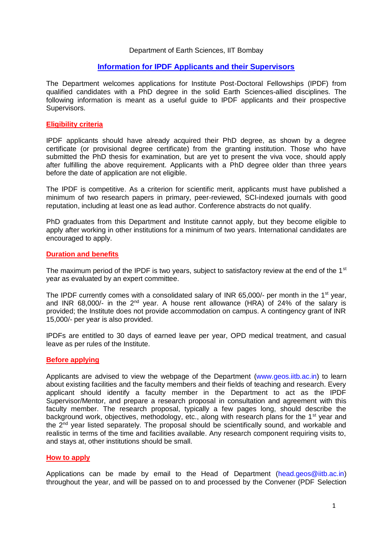#### Department of Earth Sciences, IIT Bombay

## **Information for IPDF Applicants and their Supervisors**

The Department welcomes applications for Institute Post-Doctoral Fellowships (IPDF) from qualified candidates with a PhD degree in the solid Earth Sciences-allied disciplines. The following information is meant as a useful guide to IPDF applicants and their prospective Supervisors.

## **Eligibility criteria**

IPDF applicants should have already acquired their PhD degree, as shown by a degree certificate (or provisional degree certificate) from the granting institution. Those who have submitted the PhD thesis for examination, but are yet to present the viva voce, should apply after fulfilling the above requirement. Applicants with a PhD degree older than three years before the date of application are not eligible.

The IPDF is competitive. As a criterion for scientific merit, applicants must have published a minimum of two research papers in primary, peer-reviewed, SCI-indexed journals with good reputation, including at least one as lead author. Conference abstracts do not qualify.

PhD graduates from this Department and Institute cannot apply, but they become eligible to apply after working in other institutions for a minimum of two years. International candidates are encouraged to apply.

#### **Duration and benefits**

The maximum period of the IPDF is two years, subject to satisfactory review at the end of the 1<sup>st</sup> year as evaluated by an expert committee.

The IPDF currently comes with a consolidated salary of INR 65,000/- per month in the 1<sup>st</sup> year, and INR 68,000/- in the  $2^{nd}$  year. A house rent allowance (HRA) of 24% of the salary is provided; the Institute does not provide accommodation on campus. A contingency grant of INR 15,000/- per year is also provided.

IPDFs are entitled to 30 days of earned leave per year, OPD medical treatment, and casual leave as per rules of the Institute.

#### **Before applying**

Applicants are advised to view the webpage of the Department [\(www.geos.iitb.ac.in\)](http://www.geos.iitb.ac.in/) to learn about existing facilities and the faculty members and their fields of teaching and research. Every applicant should identify a faculty member in the Department to act as the IPDF Supervisor/Mentor, and prepare a research proposal in consultation and agreement with this faculty member. The research proposal, typically a few pages long, should describe the background work, objectives, methodology, etc., along with research plans for the 1<sup>st</sup> year and the  $2<sup>nd</sup>$  year listed separately. The proposal should be scientifically sound, and workable and realistic in terms of the time and facilities available. Any research component requiring visits to, and stays at, other institutions should be small.

#### **How to apply**

Applications can be made by email to the Head of Department [\(head.geos@iitb.ac.in\)](mailto:head.geos@iitb.ac.in) throughout the year, and will be passed on to and processed by the Convener (PDF Selection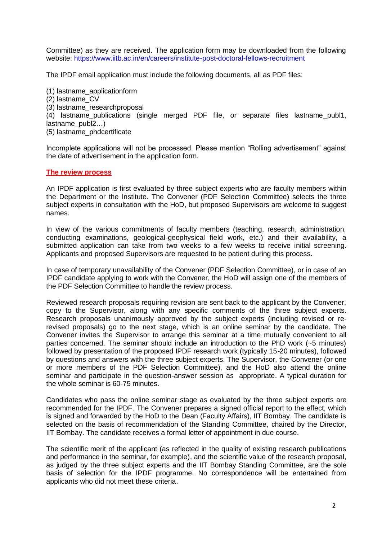Committee) as they are received. The application form may be downloaded from the following website:<https://www.iitb.ac.in/en/careers/institute-post-doctoral-fellows-recruitment>

The IPDF email application must include the following documents, all as PDF files:

(1) lastname\_applicationform

- (2) lastname\_CV
- (3) lastname\_researchproposal
- (4) lastname\_publications (single merged PDF file, or separate files lastname\_publ1, lastname\_publ2…)
- (5) lastname\_phdcertificate

Incomplete applications will not be processed. Please mention "Rolling advertisement" against the date of advertisement in the application form.

## **The review process**

An IPDF application is first evaluated by three subject experts who are faculty members within the Department or the Institute. The Convener (PDF Selection Committee) selects the three subject experts in consultation with the HoD, but proposed Supervisors are welcome to suggest names.

In view of the various commitments of faculty members (teaching, research, administration, conducting examinations, geological-geophysical field work, etc.) and their availability, a submitted application can take from two weeks to a few weeks to receive initial screening. Applicants and proposed Supervisors are requested to be patient during this process.

In case of temporary unavailability of the Convener (PDF Selection Committee), or in case of an IPDF candidate applying to work with the Convener, the HoD will assign one of the members of the PDF Selection Committee to handle the review process.

Reviewed research proposals requiring revision are sent back to the applicant by the Convener, copy to the Supervisor, along with any specific comments of the three subject experts. Research proposals unanimously approved by the subject experts (including revised or rerevised proposals) go to the next stage, which is an online seminar by the candidate. The Convener invites the Supervisor to arrange this seminar at a time mutually convenient to all parties concerned. The seminar should include an introduction to the PhD work (~5 minutes) followed by presentation of the proposed IPDF research work (typically 15-20 minutes), followed by questions and answers with the three subject experts. The Supervisor, the Convener (or one or more members of the PDF Selection Committee), and the HoD also attend the online seminar and participate in the question-answer session as appropriate. A typical duration for the whole seminar is 60-75 minutes.

Candidates who pass the online seminar stage as evaluated by the three subject experts are recommended for the IPDF. The Convener prepares a signed official report to the effect, which is signed and forwarded by the HoD to the Dean (Faculty Affairs), IIT Bombay. The candidate is selected on the basis of recommendation of the Standing Committee, chaired by the Director, IIT Bombay. The candidate receives a formal letter of appointment in due course.

The scientific merit of the applicant (as reflected in the quality of existing research publications and performance in the seminar, for example), and the scientific value of the research proposal, as judged by the three subject experts and the IIT Bombay Standing Committee, are the sole basis of selection for the IPDF programme. No correspondence will be entertained from applicants who did not meet these criteria.